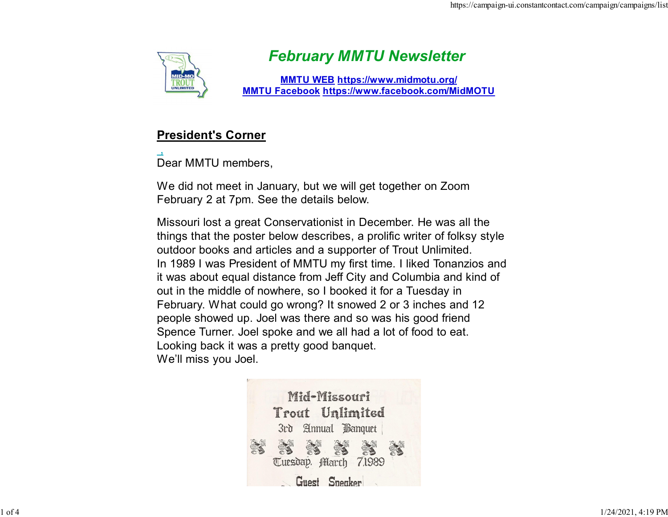

# February MMTU Newsletter

MMTU WEB https://www.midmotu.org/ MMTU Facebook https://www.facebook.com/MidMOTU

## President's Corner

Dear MMTU members,

We did not meet in January, but we will get together on Zoom February 2 at 7pm. See the details below.

Missouri lost a great Conservationist in December. He was all the things that the poster below describes, a prolific writer of folksy style outdoor books and articles and a supporter of Trout Unlimited. In 1989 I was President of MMTU my first time. I liked Tonanzios and it was about equal distance from Jeff City and Columbia and kind of out in the middle of nowhere, so I booked it for a Tuesday in February. What could go wrong? It snowed 2 or 3 inches and 12 people showed up. Joel was there and so was his good friend Spence Turner. Joel spoke and we all had a lot of food to eat. Looking back it was a pretty good banquet. We'll miss you Joel.

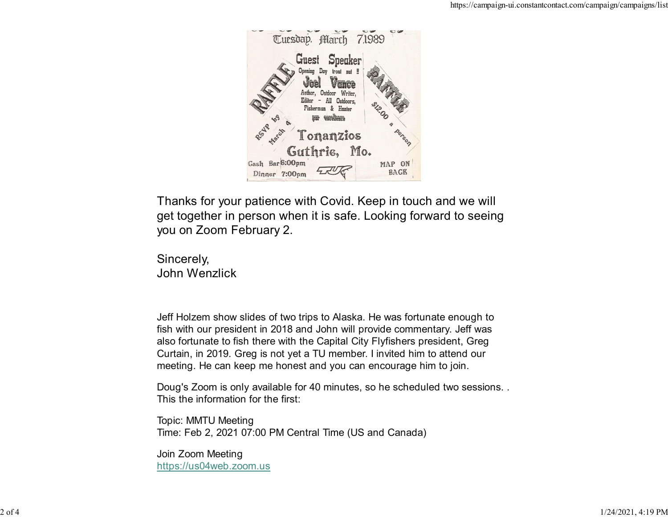

Thanks for your patience with Covid. Keep in touch and we will get together in person when it is safe. Looking forward to seeing you on Zoom February 2.

Sincerely, John Wenzlick

Jeff Holzem show slides of two trips to Alaska. He was fortunate enough to fish with our president in 2018 and John will provide commentary. Jeff was also fortunate to fish there with the Capital City Flyfishers president, Greg Curtain, in 2019. Greg is not yet a TU member. I invited him to attend our meeting. He can keep me honest and you can encourage him to join.

Doug's Zoom is only available for 40 minutes, so he scheduled two sessions. . This the information for the first:

Topic: MMTU Meeting Time: Feb 2, 2021 07:00 PM Central Time (US and Canada)

Join Zoom Meeting https://us04web.zoom.us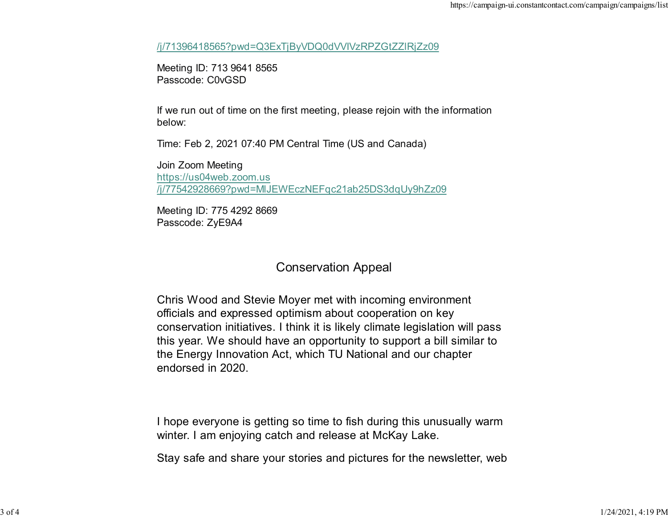/j/71396418565?pwd=Q3ExTjByVDQ0dVVIVzRPZGtZZlRjZz09

Meeting ID: 713 9641 8565 Passcode: C0vGSD

If we run out of time on the first meeting, please rejoin with the information below:

Time: Feb 2, 2021 07:40 PM Central Time (US and Canada)

Join Zoom Meeting https://us04web.zoom.us /j/77542928669?pwd=MlJEWEczNEFqc21ab25DS3dqUy9hZz09

Meeting ID: 775 4292 8669 Passcode: ZyE9A4

## Conservation Appeal

Chris Wood and Stevie Moyer met with incoming environment officials and expressed optimism about cooperation on key conservation initiatives. I think it is likely climate legislation will pass this year. We should have an opportunity to support a bill similar to the Energy Innovation Act, which TU National and our chapter endorsed in 2020.

I hope everyone is getting so time to fish during this unusually warm winter. I am enjoying catch and release at McKay Lake.

Stay safe and share your stories and pictures for the newsletter, web